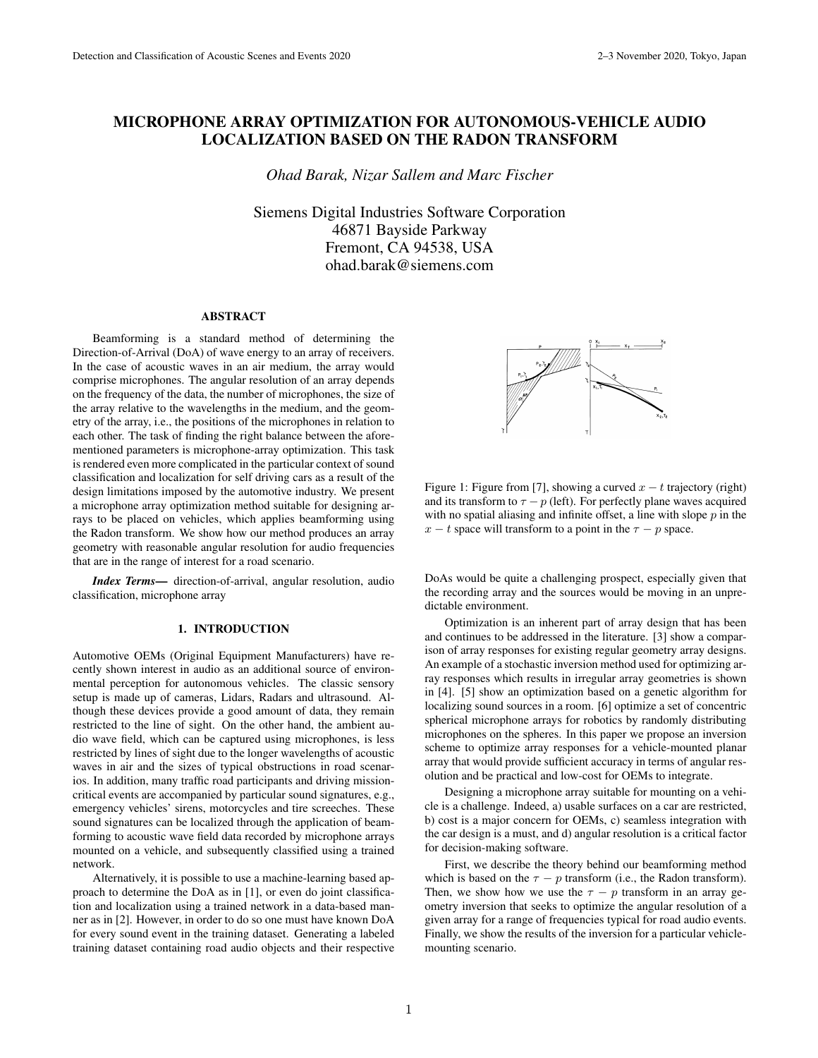# MICROPHONE ARRAY OPTIMIZATION FOR AUTONOMOUS-VEHICLE AUDIO LOCALIZATION BASED ON THE RADON TRANSFORM

*Ohad Barak, Nizar Sallem and Marc Fischer*

Siemens Digital Industries Software Corporation 46871 Bayside Parkway Fremont, CA 94538, USA ohad.barak@siemens.com

#### ABSTRACT

Beamforming is a standard method of determining the Direction-of-Arrival (DoA) of wave energy to an array of receivers. In the case of acoustic waves in an air medium, the array would comprise microphones. The angular resolution of an array depends on the frequency of the data, the number of microphones, the size of the array relative to the wavelengths in the medium, and the geometry of the array, i.e., the positions of the microphones in relation to each other. The task of finding the right balance between the aforementioned parameters is microphone-array optimization. This task is rendered even more complicated in the particular context of sound classification and localization for self driving cars as a result of the design limitations imposed by the automotive industry. We present a microphone array optimization method suitable for designing arrays to be placed on vehicles, which applies beamforming using the Radon transform. We show how our method produces an array geometry with reasonable angular resolution for audio frequencies that are in the range of interest for a road scenario.

*Index Terms*— direction-of-arrival, angular resolution, audio classification, microphone array

# 1. INTRODUCTION

Automotive OEMs (Original Equipment Manufacturers) have recently shown interest in audio as an additional source of environmental perception for autonomous vehicles. The classic sensory setup is made up of cameras, Lidars, Radars and ultrasound. Although these devices provide a good amount of data, they remain restricted to the line of sight. On the other hand, the ambient audio wave field, which can be captured using microphones, is less restricted by lines of sight due to the longer wavelengths of acoustic waves in air and the sizes of typical obstructions in road scenarios. In addition, many traffic road participants and driving missioncritical events are accompanied by particular sound signatures, e.g., emergency vehicles' sirens, motorcycles and tire screeches. These sound signatures can be localized through the application of beamforming to acoustic wave field data recorded by microphone arrays mounted on a vehicle, and subsequently classified using a trained network.

Alternatively, it is possible to use a machine-learning based approach to determine the DoA as in [1], or even do joint classification and localization using a trained network in a data-based manner as in [2]. However, in order to do so one must have known DoA for every sound event in the training dataset. Generating a labeled training dataset containing road audio objects and their respective



Figure 1: Figure from [7], showing a curved  $x - t$  trajectory (right) and its transform to  $\tau - p$  (left). For perfectly plane waves acquired with no spatial aliasing and infinite offset, a line with slope  $p$  in the  $x - t$  space will transform to a point in the  $\tau - p$  space.

DoAs would be quite a challenging prospect, especially given that the recording array and the sources would be moving in an unpredictable environment.

Optimization is an inherent part of array design that has been and continues to be addressed in the literature. [3] show a comparison of array responses for existing regular geometry array designs. An example of a stochastic inversion method used for optimizing array responses which results in irregular array geometries is shown in [4]. [5] show an optimization based on a genetic algorithm for localizing sound sources in a room. [6] optimize a set of concentric spherical microphone arrays for robotics by randomly distributing microphones on the spheres. In this paper we propose an inversion scheme to optimize array responses for a vehicle-mounted planar array that would provide sufficient accuracy in terms of angular resolution and be practical and low-cost for OEMs to integrate.

Designing a microphone array suitable for mounting on a vehicle is a challenge. Indeed, a) usable surfaces on a car are restricted, b) cost is a major concern for OEMs, c) seamless integration with the car design is a must, and d) angular resolution is a critical factor for decision-making software.

First, we describe the theory behind our beamforming method which is based on the  $\tau - p$  transform (i.e., the Radon transform). Then, we show how we use the  $\tau - p$  transform in an array geometry inversion that seeks to optimize the angular resolution of a given array for a range of frequencies typical for road audio events. Finally, we show the results of the inversion for a particular vehiclemounting scenario.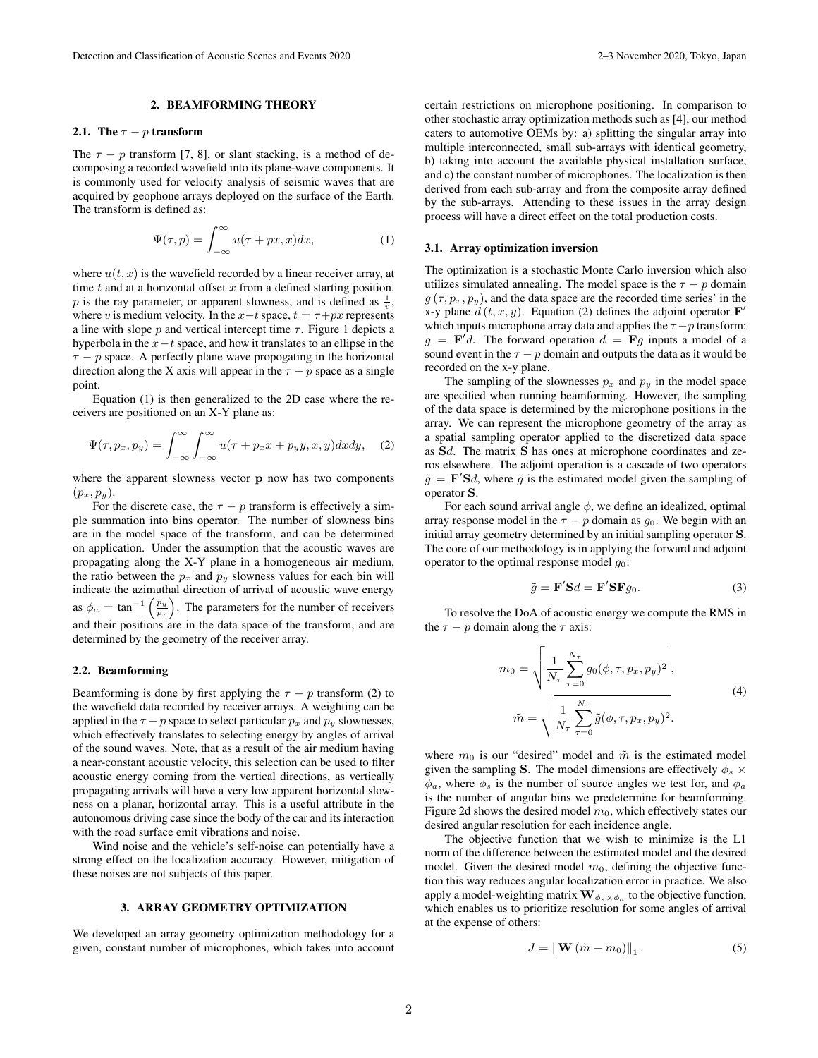# 2. BEAMFORMING THEORY

## 2.1. The  $\tau - p$  transform

The  $\tau - p$  transform [7, 8], or slant stacking, is a method of decomposing a recorded wavefield into its plane-wave components. It is commonly used for velocity analysis of seismic waves that are acquired by geophone arrays deployed on the surface of the Earth. The transform is defined as:

$$
\Psi(\tau, p) = \int_{-\infty}^{\infty} u(\tau + px, x) dx,
$$
 (1)

where  $u(t, x)$  is the wavefield recorded by a linear receiver array, at time  $t$  and at a horizontal offset  $x$  from a defined starting position. p is the ray parameter, or apparent slowness, and is defined as  $\frac{1}{v}$ , where v is medium velocity. In the  $x-t$  space,  $t = \tau + px$  represents a line with slope p and vertical intercept time  $\tau$ . Figure 1 depicts a hyperbola in the  $x-t$  space, and how it translates to an ellipse in the  $\tau - p$  space. A perfectly plane wave propogating in the horizontal direction along the X axis will appear in the  $\tau - p$  space as a single point.

Equation (1) is then generalized to the 2D case where the receivers are positioned on an X-Y plane as:

$$
\Psi(\tau, p_x, p_y) = \int_{-\infty}^{\infty} \int_{-\infty}^{\infty} u(\tau + p_x x + p_y y, x, y) dx dy, \quad (2)
$$

where the apparent slowness vector **p** now has two components  $(p_x, p_y)$ .

For the discrete case, the  $\tau - p$  transform is effectively a simple summation into bins operator. The number of slowness bins are in the model space of the transform, and can be determined on application. Under the assumption that the acoustic waves are propagating along the X-Y plane in a homogeneous air medium, the ratio between the  $p_x$  and  $p_y$  slowness values for each bin will indicate the azimuthal direction of arrival of acoustic wave energy as  $\phi_a = \tan^{-1} \left( \frac{p_y}{p_x} \right)$  . The parameters for the number of receivers and their positions are in the data space of the transform, and are determined by the geometry of the receiver array.

#### 2.2. Beamforming

Beamforming is done by first applying the  $\tau - p$  transform (2) to the wavefield data recorded by receiver arrays. A weighting can be applied in the  $\tau - p$  space to select particular  $p_x$  and  $p_y$  slownesses, which effectively translates to selecting energy by angles of arrival of the sound waves. Note, that as a result of the air medium having a near-constant acoustic velocity, this selection can be used to filter acoustic energy coming from the vertical directions, as vertically propagating arrivals will have a very low apparent horizontal slowness on a planar, horizontal array. This is a useful attribute in the autonomous driving case since the body of the car and its interaction with the road surface emit vibrations and noise.

Wind noise and the vehicle's self-noise can potentially have a strong effect on the localization accuracy. However, mitigation of these noises are not subjects of this paper.

## 3. ARRAY GEOMETRY OPTIMIZATION

We developed an array geometry optimization methodology for a given, constant number of microphones, which takes into account

certain restrictions on microphone positioning. In comparison to other stochastic array optimization methods such as [4], our method caters to automotive OEMs by: a) splitting the singular array into multiple interconnected, small sub-arrays with identical geometry, b) taking into account the available physical installation surface, and c) the constant number of microphones. The localization is then derived from each sub-array and from the composite array defined by the sub-arrays. Attending to these issues in the array design process will have a direct effect on the total production costs.

# 3.1. Array optimization inversion

The optimization is a stochastic Monte Carlo inversion which also utilizes simulated annealing. The model space is the  $\tau - p$  domain  $g(\tau, p_x, p_y)$ , and the data space are the recorded time series' in the x-y plane  $d(t, x, y)$ . Equation (2) defines the adjoint operator  $\mathbf{F}'$ which inputs microphone array data and applies the  $\tau - p$  transform:  $g = \mathbf{F}'d$ . The forward operation  $d = \mathbf{F}g$  inputs a model of a sound event in the  $\tau - p$  domain and outputs the data as it would be recorded on the x-y plane.

The sampling of the slownesses  $p_x$  and  $p_y$  in the model space are specified when running beamforming. However, the sampling of the data space is determined by the microphone positions in the array. We can represent the microphone geometry of the array as a spatial sampling operator applied to the discretized data space as Sd. The matrix S has ones at microphone coordinates and zeros elsewhere. The adjoint operation is a cascade of two operators  $\tilde{g}$  = **F**'Sd, where  $\tilde{g}$  is the estimated model given the sampling of operator S.

For each sound arrival angle  $\phi$ , we define an idealized, optimal array response model in the  $\tau - p$  domain as  $g_0$ . We begin with an initial array geometry determined by an initial sampling operator S. The core of our methodology is in applying the forward and adjoint operator to the optimal response model  $g_0$ :

$$
\tilde{g} = \mathbf{F}' \mathbf{S} d = \mathbf{F}' \mathbf{S} \mathbf{F} g_0. \tag{3}
$$

To resolve the DoA of acoustic energy we compute the RMS in the  $\tau - p$  domain along the  $\tau$  axis:

$$
m_0 = \sqrt{\frac{1}{N_{\tau}} \sum_{\tau=0}^{N_{\tau}} g_0(\phi, \tau, p_x, p_y)^2},
$$
  

$$
\tilde{m} = \sqrt{\frac{1}{N_{\tau}} \sum_{\tau=0}^{N_{\tau}} \tilde{g}(\phi, \tau, p_x, p_y)^2}.
$$
 (4)

where  $m_0$  is our "desired" model and  $\tilde{m}$  is the estimated model given the sampling S. The model dimensions are effectively  $\phi_s \times$  $\phi_a$ , where  $\phi_s$  is the number of source angles we test for, and  $\phi_a$ is the number of angular bins we predetermine for beamforming. Figure 2d shows the desired model  $m_0$ , which effectively states our desired angular resolution for each incidence angle.

The objective function that we wish to minimize is the L1 norm of the difference between the estimated model and the desired model. Given the desired model  $m_0$ , defining the objective function this way reduces angular localization error in practice. We also apply a model-weighting matrix  $\mathbf{W}_{\phi_s \times \phi_a}$  to the objective function, which enables us to prioritize resolution for some angles of arrival at the expense of others:

$$
J = \left\| \mathbf{W} \left( \tilde{m} - m_0 \right) \right\|_1. \tag{5}
$$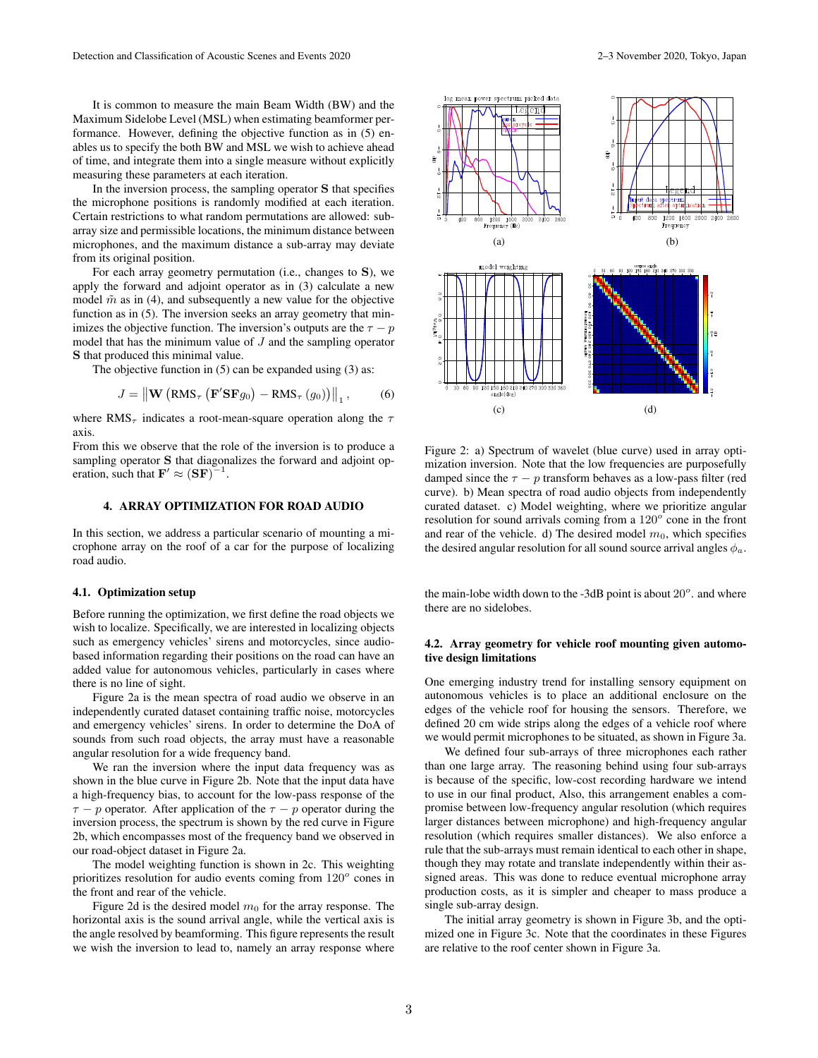It is common to measure the main Beam Width (BW) and the Maximum Sidelobe Level (MSL) when estimating beamformer performance. However, defining the objective function as in (5) enables us to specify the both BW and MSL we wish to achieve ahead of time, and integrate them into a single measure without explicitly measuring these parameters at each iteration.

In the inversion process, the sampling operator S that specifies the microphone positions is randomly modified at each iteration. Certain restrictions to what random permutations are allowed: subarray size and permissible locations, the minimum distance between microphones, and the maximum distance a sub-array may deviate from its original position.

For each array geometry permutation (i.e., changes to S), we apply the forward and adjoint operator as in (3) calculate a new model  $\tilde{m}$  as in (4), and subsequently a new value for the objective function as in (5). The inversion seeks an array geometry that minimizes the objective function. The inversion's outputs are the  $\tau - p$ model that has the minimum value of  $J$  and the sampling operator S that produced this minimal value.

The objective function in (5) can be expanded using (3) as:

$$
J = \left\| \mathbf{W} \left( \text{RMS}_{\tau} \left( \mathbf{F}' \mathbf{S} \mathbf{F} g_0 \right) - \text{RMS}_{\tau} \left( g_0 \right) \right) \right\|_1, \quad (6)
$$

where RMS<sub>τ</sub> indicates a root-mean-square operation along the  $\tau$ axis.

From this we observe that the role of the inversion is to produce a sampling operator S that diagonalizes the forward and adjoint operation, such that  $\mathbf{F}' \approx (\mathbf{S}\mathbf{F})^{-1}$ .

# 4. ARRAY OPTIMIZATION FOR ROAD AUDIO

In this section, we address a particular scenario of mounting a microphone array on the roof of a car for the purpose of localizing road audio.

#### 4.1. Optimization setup

Before running the optimization, we first define the road objects we wish to localize. Specifically, we are interested in localizing objects such as emergency vehicles' sirens and motorcycles, since audiobased information regarding their positions on the road can have an added value for autonomous vehicles, particularly in cases where there is no line of sight.

Figure 2a is the mean spectra of road audio we observe in an independently curated dataset containing traffic noise, motorcycles and emergency vehicles' sirens. In order to determine the DoA of sounds from such road objects, the array must have a reasonable angular resolution for a wide frequency band.

We ran the inversion where the input data frequency was as shown in the blue curve in Figure 2b. Note that the input data have a high-frequency bias, to account for the low-pass response of the  $\tau - p$  operator. After application of the  $\tau - p$  operator during the inversion process, the spectrum is shown by the red curve in Figure 2b, which encompasses most of the frequency band we observed in our road-object dataset in Figure 2a.

The model weighting function is shown in 2c. This weighting prioritizes resolution for audio events coming from  $120^{\circ}$  cones in the front and rear of the vehicle.

Figure 2d is the desired model  $m_0$  for the array response. The horizontal axis is the sound arrival angle, while the vertical axis is the angle resolved by beamforming. This figure represents the result we wish the inversion to lead to, namely an array response where



Figure 2: a) Spectrum of wavelet (blue curve) used in array optimization inversion. Note that the low frequencies are purposefully damped since the  $\tau - p$  transform behaves as a low-pass filter (red curve). b) Mean spectra of road audio objects from independently curated dataset. c) Model weighting, where we prioritize angular resolution for sound arrivals coming from a  $120^{\circ}$  cone in the front and rear of the vehicle. d) The desired model  $m_0$ , which specifies the desired angular resolution for all sound source arrival angles  $\phi_a$ .

the main-lobe width down to the -3dB point is about  $20^{\circ}$ . and where there are no sidelobes.

#### 4.2. Array geometry for vehicle roof mounting given automotive design limitations

One emerging industry trend for installing sensory equipment on autonomous vehicles is to place an additional enclosure on the edges of the vehicle roof for housing the sensors. Therefore, we defined 20 cm wide strips along the edges of a vehicle roof where we would permit microphones to be situated, as shown in Figure 3a.

We defined four sub-arrays of three microphones each rather than one large array. The reasoning behind using four sub-arrays is because of the specific, low-cost recording hardware we intend to use in our final product, Also, this arrangement enables a compromise between low-frequency angular resolution (which requires larger distances between microphone) and high-frequency angular resolution (which requires smaller distances). We also enforce a rule that the sub-arrays must remain identical to each other in shape, though they may rotate and translate independently within their assigned areas. This was done to reduce eventual microphone array production costs, as it is simpler and cheaper to mass produce a single sub-array design.

The initial array geometry is shown in Figure 3b, and the optimized one in Figure 3c. Note that the coordinates in these Figures are relative to the roof center shown in Figure 3a.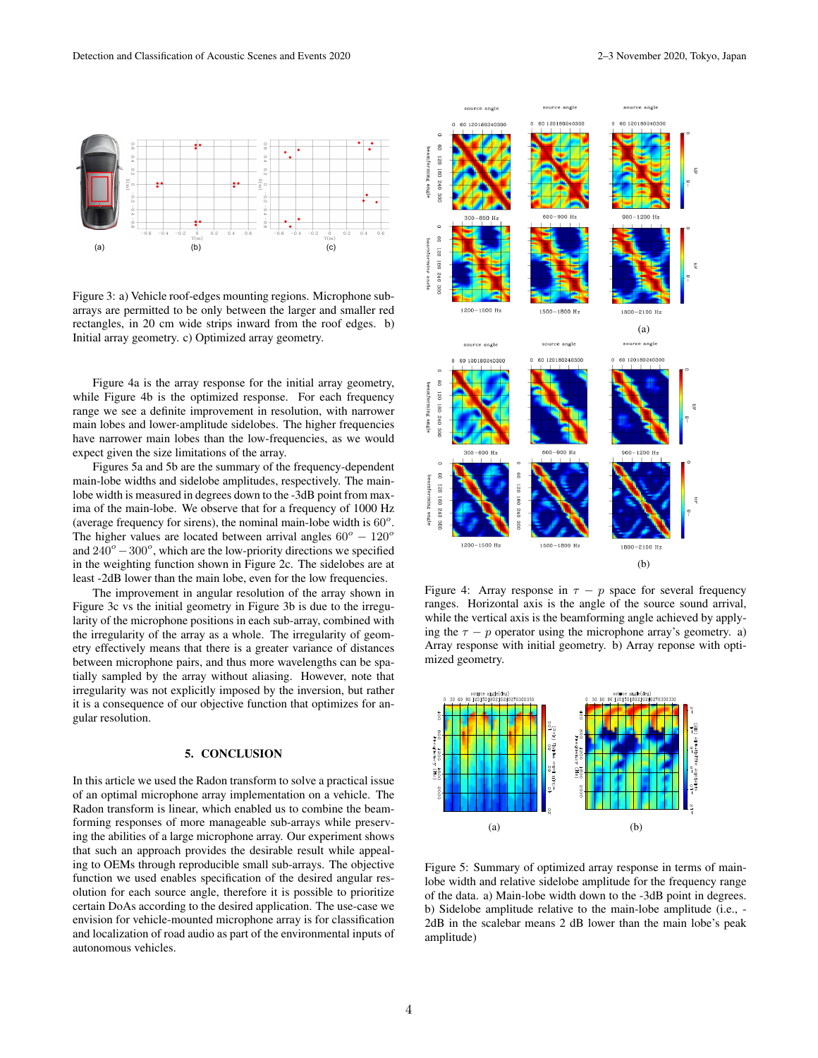

Figure 3: a) Vehicle roof-edges mounting regions. Microphone subarrays are permitted to be only between the larger and smaller red rectangles, in 20 cm wide strips inward from the roof edges. b) Initial array geometry. c) Optimized array geometry.

Figure 4a is the array response for the initial array geometry, while Figure 4b is the optimized response. For each frequency range we see a definite improvement in resolution, with narrower main lobes and lower-amplitude sidelobes. The higher frequencies have narrower main lobes than the low-frequencies, as we would expect given the size limitations of the array.

Figures 5a and 5b are the summary of the frequency-dependent main-lobe widths and sidelobe amplitudes, respectively. The mainlobe width is measured in degrees down to the -3dB point from maxima of the main-lobe. We observe that for a frequency of 1000 Hz (average frequency for sirens), the nominal main-lobe width is  $60^\circ$ . The higher values are located between arrival angles  $60^{\circ} - 120^{\circ}$ and  $240^{\circ} - 300^{\circ}$ , which are the low-priority directions we specified in the weighting function shown in Figure 2c. The sidelobes are at least -2dB lower than the main lobe, even for the low frequencies.

The improvement in angular resolution of the array shown in Figure 3c vs the initial geometry in Figure 3b is due to the irregularity of the microphone positions in each sub-array, combined with the irregularity of the array as a whole. The irregularity of geometry effectively means that there is a greater variance of distances between microphone pairs, and thus more wavelengths can be spatially sampled by the array without aliasing. However, note that irregularity was not explicitly imposed by the inversion, but rather it is a consequence of our objective function that optimizes for angular resolution.

#### 5. CONCLUSION

In this article we used the Radon transform to solve a practical issue of an optimal microphone array implementation on a vehicle. The Radon transform is linear, which enabled us to combine the beamforming responses of more manageable sub-arrays while preserving the abilities of a large microphone array. Our experiment shows that such an approach provides the desirable result while appealing to OEMs through reproducible small sub-arrays. The objective function we used enables specification of the desired angular resolution for each source angle, therefore it is possible to prioritize certain DoAs according to the desired application. The use-case we envision for vehicle-mounted microphone array is for classification and localization of road audio as part of the environmental inputs of autonomous vehicles.



Figure 4: Array response in  $\tau - p$  space for several frequency ranges. Horizontal axis is the angle of the source sound arrival, while the vertical axis is the beamforming angle achieved by applying the  $\tau - p$  operator using the microphone array's geometry. a) Array response with initial geometry. b) Array reponse with optimized geometry.



Figure 5: Summary of optimized array response in terms of mainlobe width and relative sidelobe amplitude for the frequency range of the data. a) Main-lobe width down to the -3dB point in degrees. b) Sidelobe amplitude relative to the main-lobe amplitude (i.e., - 2dB in the scalebar means 2 dB lower than the main lobe's peak amplitude)